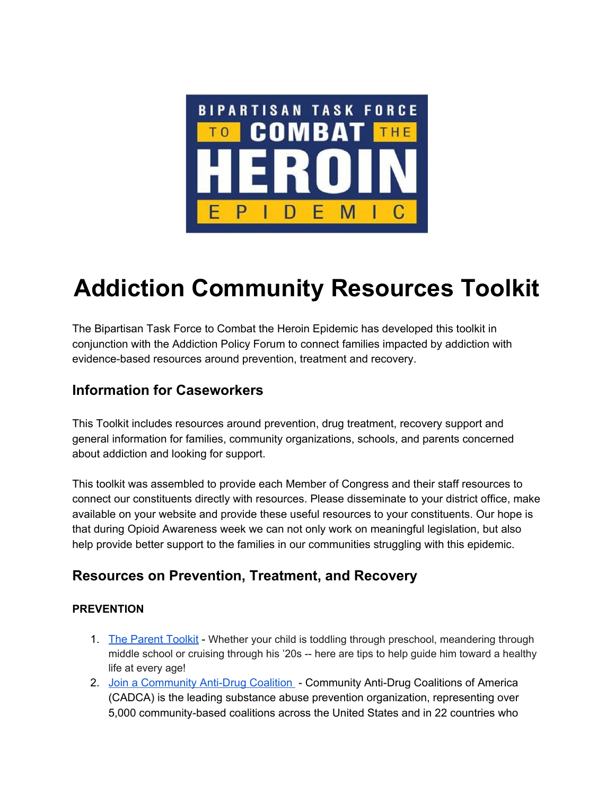

# **Addiction Community Resources Toolkit**

The Bipartisan Task Force to Combat the Heroin Epidemic has developed this toolkit in conjunction with the Addiction Policy Forum to connect families impacted by addiction with evidence-based resources around prevention, treatment and recovery.

### **Information for Caseworkers**

This Toolkit includes resources around prevention, drug treatment, recovery support and general information for families, community organizations, schools, and parents concerned about addiction and looking for support.

This toolkit was assembled to provide each Member of Congress and their staff resources to connect our constituents directly with resources. Please disseminate to your district office, make available on your website and provide these useful resources to your constituents. Our hope is that during Opioid Awareness week we can not only work on meaningful legislation, but also help provide better support to the families in our communities struggling with this epidemic.

### **Resources on Prevention, Treatment, and Recovery**

### **PREVENTION**

- 1. The [Parent](http://www.drugfree.org/the-parent-toolkit/age-by-age-advice/) Toolkit Whether your child is toddling through preschool, meandering through middle school or cruising through his '20s -- here are tips to help guide him toward a healthy life at every age!
- 2. Join a [Community](http://www.cadca.org/webform/join-existing-coalition) Anti-Drug Coalition Community Anti-Drug Coalitions of America (CADCA) is the leading substance abuse prevention organization, representing over 5,000 community-based coalitions across the United States and in 22 countries who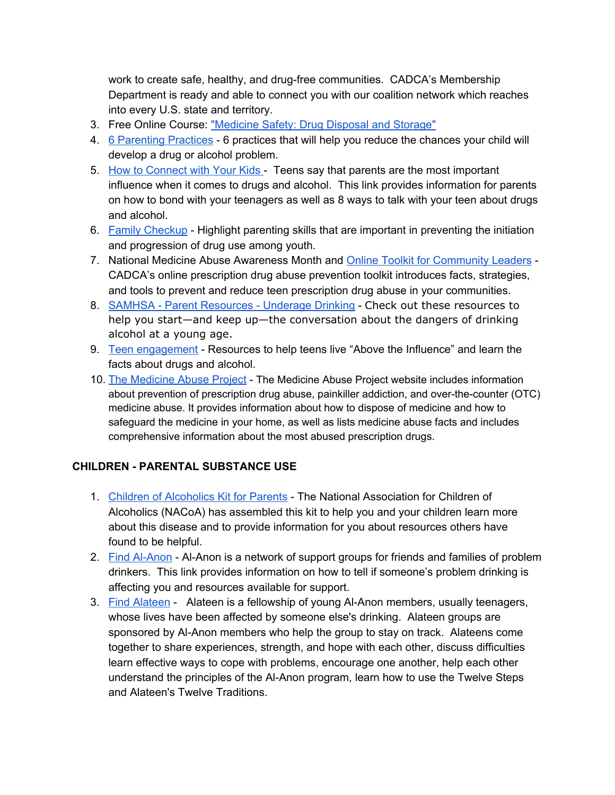work to create safe, healthy, and drug-free communities. CADCA's Membership Department is ready and able to connect you with our coalition network which reaches into every U.S. state and territory.

- 3. Free Online Course: ["Medicine](http://learning.cadca.org/) Safety: Drug Disposal and Storage"
- 4. 6 [Parenting](http://www.drugfree.org/resources/6-parenting-practices/) Practices 6 practices that will help you reduce the chances your child will develop a drug or alcohol problem.
- 5. How to [Connect](http://www.drugfree.org/the-parent-toolkit/connecting-with-your-kids/) with Your Kids Teens say that parents are the most important influence when it comes to drugs and alcohol. This link provides information for parents on how to bond with your teenagers as well as 8 ways to talk with your teen about drugs and alcohol.
- 6. Family [Checkup](https://www.drugabuse.gov/family-checkup) Highlight parenting skills that are important in preventing the initiation and progression of drug use among youth.
- 7. National Medicine Abuse Awareness Month and Online Toolkit for [Community](http://preventrxabuse.org/) Leaders CADCA's online prescription drug abuse prevention toolkit introduces facts, strategies, and tools to prevent and reduce teen prescription drug abuse in your communities.
- 8. SAMHSA Parent [Resources](http://www.samhsa.gov/underage-drinking/parent-resources) Underage Drinking Check out these resources to help you start—and keep up—the conversation about the dangers of drinking alcohol at a young age.
- 9. Teen [engagement](http://www.abovetheinfluence.com/) Resources to help teens live "Above the Influence" and learn the facts about drugs and alcohol.
- 10. The [Medicine](http://www.medicineabuseproject.org/) Abuse Project The Medicine Abuse Project website includes information about prevention of prescription drug abuse, painkiller addiction, and over-the-counter (OTC) medicine abuse. It provides information about how to dispose of medicine and how to safeguard the medicine in your home, as well as lists medicine abuse facts and includes comprehensive information about the most abused prescription drugs.

### **CHILDREN PARENTAL SUBSTANCE USE**

- 1. Children of [Alcoholics](http://www.nacoa.org/pdfs/kit4parentsweb.pdf) Kit for Parents The National Association for Children of Alcoholics (NACoA) has assembled this kit to help you and your children learn more about this disease and to provide information for you about resources others have found to be helpful.
- 2. Find Al-Anon Al-Anon is a network of support groups for friends and families of problem drinkers. This link provides information on how to tell if someone's problem drinking is affecting you and resources available for support.
- 3. Find [Alateen](http://www.alateen.org/) Alateen is a fellowship of young Al-Anon members, usually teenagers, whose lives have been affected by someone else's drinking. Alateen groups are sponsored by Al-Anon members who help the group to stay on track. Alateens come together to share experiences, strength, and hope with each other, discuss difficulties learn effective ways to cope with problems, encourage one another, help each other understand the principles of the Al-Anon program, learn how to use the Twelve Steps and Alateen's Twelve Traditions.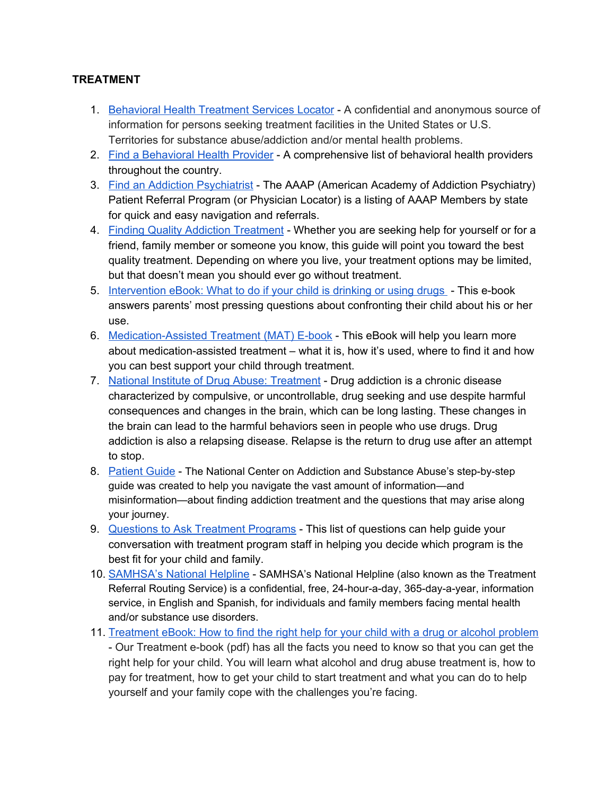### **TREATMENT**

- 1. [Behavioral](https://findtreatment.samhsa.gov/) Health Treatment Services Locator A confidential and anonymous source of information for persons seeking treatment facilities in the United States or U.S. Territories for substance abuse/addiction and/or mental health problems.
- 2. Find a [Behavioral](http://www.thenationalcouncil.org/providers/) Health Provider A comprehensive list of behavioral health providers throughout the country.
- 3. Find an Addiction [Psychiatrist](http://www.aaap.org/patient-resources/find-a-specialist/) The AAAP (American Academy of Addiction Psychiatry) Patient Referral Program (or Physician Locator) is a listing of AAAP Members by state for quick and easy navigation and referrals.
- 4. Finding Quality Addiction [Treatment](http://www.centeronaddiction.org/sites/default/files/files/Final-patient-guide-april-2016.pdf) Whether you are seeking help for yourself or for a friend, family member or someone you know, this guide will point you toward the best quality treatment. Depending on where you live, your treatment options may be limited, but that doesn't mean you should ever go without treatment.
- 5. [Intervention](http://www.drugfree.org/resources/intervention-e-book-what-to-do-if-your-child-is-drinking-or-using-drugs/) eBook: What to do if your child is drinking or using drugs This e-book answers parents' most pressing questions about [confronting](http://www.drugfree.org/resources/intervention-e-book-what-to-do-if-your-child-is-drinking-or-using-drugs/) their child about his or her [use.](http://www.drugfree.org/resources/intervention-e-book-what-to-do-if-your-child-is-drinking-or-using-drugs/)
- 6. Medication-Assisted Treatment (MAT) E-book This eBook will help you learn more about medication-assisted treatment – what it is, how it's used, where to find it and how you can best support your child through treatment.
- 7. National Institute of Drug Abuse: [Treatment](https://www.drugabuse.gov/related-topics/treatment) Drug addiction is a chronic disease characterized by compulsive, or uncontrollable, drug seeking and use despite harmful consequences and changes in the brain, which can be long lasting. These changes in the brain can lead to the harmful behaviors seen in people who use drugs. Drug addiction is also a relapsing disease. Relapse is the return to drug use after an attempt to stop[.](http://www.drugfree.org/wp-content/uploads/2014/05/MAT_EBOOK_2014v2.pdf)
- 8. [Patient](http://www.casacolumbia.org/addiction-treatment/patient-guide) Guide The National Center on Addiction and Substance Abuse's step-by-step guide was created to help you navigate the vast amount of information—and misinformation—about finding addiction treatment and the questions that may arise along your journey[.](http://www.casacolumbia.org/addiction-treatment/patient-guide)
- 9. Questions to Ask [Treatment](http://drugfree.scdn1.secure.raxcdn.com/wp-content/uploads/2014/05/questions_to_ask_treatment_programs_and_staff.pdf) Programs This list of questions can help guide your conversation with treatment program staff in helping you decide which program is the best fit for your child and family.
- 10. [SAMHSA's](http://www.samhsa.gov/find-help/national-helpline) National Helpline SAMHSA's National Helpline (also known as the Treatment Referral Routing Service) is a confidential, free, 24-hour-a-day, 365-day-a-year, information service, in English and Spanish, for individuals and family members facing mental health and/or substance use disorders[.](http://www.samhsa.gov/find-help/national-helpline)
- 11. [Treatment](http://www.drugfree.org/resources/drug-alcohol-abuse-treatment-how-to-find-the-right-help-for-your-child-with/) eBook: How to find the right help for your child with a drug or alcohol problem - Our Treatment e-book (pdf) has all the facts you need to know so that you can get the right help for your child. You will learn what alcohol and drug abuse treatment is, how to pay for treatment, how to get your child to start treatment and what you can do to help yourself and your family cope with the challenges you're facing.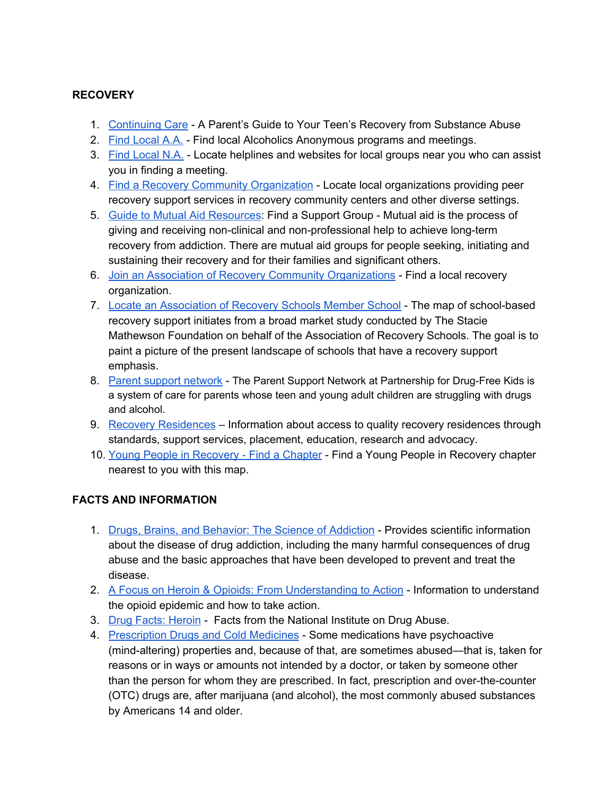### **RECOVERY**

- 1. [Continuing](http://continuingcare.drugfree.org/) Care A Parent's Guide to Your Teen's Recovery from Substance Abuse
- 2. Find [Local](http://www.aa.org/pages/en_US/find-local-aa) A.A. Find local Alcoholics Anonymous programs and meetings[.](http://www.aa.org/pages/en_US/find-local-aa)
- 3. Find [Local](https://www.na.org/meetingsearch/) N.A. Locate helplines and websites for local groups near you who can assist you in finding a meeting.
- 4. Find a Recovery Community [Organization](http://www.facesandvoicesofrecovery.org/who/regions) Locate local organizations providing peer recovery support services in recovery community centers and other diverse settings.
- 5. Guide to Mutual Aid [Resources](http://www.facesandvoicesofrecovery.org/guide/support/): Find a Support Group Mutual aid is the process of giving and receiving non-clinical and non-professional help to achieve long-term recovery from addiction. There are mutual aid groups for people seeking, initiating and sustaining their recovery and for their families and significant others.
- 6. Join an Association of Recovery Community [Organizations](http://www.facesandvoicesofrecovery.org/who/arco) Find a local recovery organization.
- 7. Locate an [Association](https://recoveryschools.org/toolkit/#1452233240240-22545dae-ecd0) of Recovery Schools Member School The map of school-based recovery support initiates from a broad market study conducted by The Stacie Mathewson Foundation on behalf of the Association of Recovery Schools. The goal is to paint a picture of the present landscape of schools that have a recovery support emphasis[.](http://www.recoveryschools.org/resources/recovery-asset-map)
- 8. Parent support [network](http://www.drugfree.org/community/parent-support-network/) The Parent Support Network at Partnership for Drug-Free Kids is a system of care for parents whose teen and young adult children are struggling with drugs and alcohol[.](http://www.drugfree.org/community/parent-support-network/)
- 9. Recovery [Residences](http://narronline.org/) Information about access to quality recovery residences through standards, support services, placement, education, research and advocacy.
- 10. Young People in [Recovery](http://youngpeopleinrecovery.org/locate-ypr-chapter/) Find a Chapter Find a Young People in Recovery chapter nearest to you with this map.

### **FACTS AND INFORMATION**

- 1. Drugs, Brains, and [Behavior:](https://d14rmgtrwzf5a.cloudfront.net/sites/default/files/soa_2014.pdf) The Science of Addiction Provides scientific information about the disease of drug addiction, including the many harmful consequences of drug abuse and the basic approaches that have been developed to prevent and treat the disease.
- 2. A Focus on Heroin & Opioids: From [Understanding](http://www.drugfree.org/heroin) to Action Information to understand the opioid epidemic and how to take action.
- 3. Drug Facts: [Heroin](https://d14rmgtrwzf5a.cloudfront.net/sites/default/files/drugfacts_heroin_10_14.pdf) Facts from the National Institute on Drug Abuse.
- 4. [Prescription](https://www.drugabuse.gov/drugs-abuse/prescription-drugs-cold-medicines) Drugs and Cold Medicines Some medications have psychoactive (mind-altering) properties and, because of that, are sometimes abused—that is, taken for reasons or in ways or amounts not intended by a doctor, or taken by someone other than the person for whom they are prescribed. In fact, prescription and over-the-counter (OTC) drugs are, after marijuana (and alcohol), the most commonly abused substances by Americans 14 and older.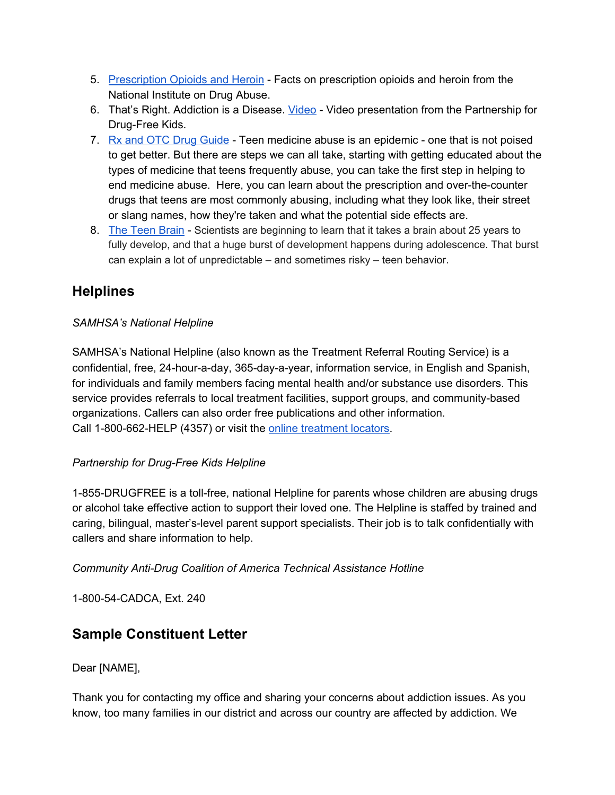- 5. [Prescription](https://d14rmgtrwzf5a.cloudfront.net/sites/default/files/rx_and_heroin_rrs_layout_final.pdf) Opioids and Heroin Facts on prescription opioids and heroin from the National Institute on Drug Abuse.
- 6. That's Right. Addiction is a Disease. [Video](https://www.youtube.com/watch?v=P--6LEbksds) Video presentation from the Partnership for Drug-Free Kids.
- 7. Rx and OTC Drug [Guide](http://medicineabuseproject.org/medicine) Teen medicine abuse is an epidemic one that is not poised to get better. But there are steps we can all take, starting with getting educated about the types of medicine that teens frequently abuse, you can take the first step in helping to end medicine abuse. Here, you can learn about the prescription and over-the-counter drugs that teens are most commonly abusing, including what they look like, their street or slang names, how they're taken and what the potential side effects are.
- 8. The Teen [Brain](http://www.drugfree.org/why-do-teens-act-this-way/) Scientists are beginning to learn that it takes a brain about 25 years to fully develop, and that a huge burst of development happens during adolescence. That burst can explain a lot of unpredictable – and sometimes risky – teen behavior.

## **Helplines**

### *SAMHSA's National Helpline*

SAMHSA's National Helpline (also known as the Treatment Referral Routing Service) is a confidential, free, 24-hour-a-day, 365-day-a-year, information service, in English and Spanish, for individuals and family members facing mental health and/or substance use disorders. This service provides referrals to local treatment facilities, support groups, and community-based organizations. Callers can also order free publications and other information. Call 1-800-662-HELP (4357) [o](http://findtreatment.samhsa.gov/)r visit the online [treatment](http://findtreatment.samhsa.gov/) locators.

### *Partnership for Drug-Free Kids Helpline*

1-855-DRUGFREE is a toll-free, national Helpline for parents whose children are abusing drugs or alcohol take effective action to support their loved one. The Helpline is staffed by trained and caring, bilingual, master's-level parent support specialists. Their job is to talk confidentially with callers and share information to help.

*Community AntiDrug Coalition of America Technical Assistance Hotline*

1-800-54-CADCA, Ext. 240

### **Sample Constituent Letter**

Dear [NAME],

Thank you for contacting my office and sharing your concerns about addiction issues. As you know, too many families in our district and across our country are affected by addiction. We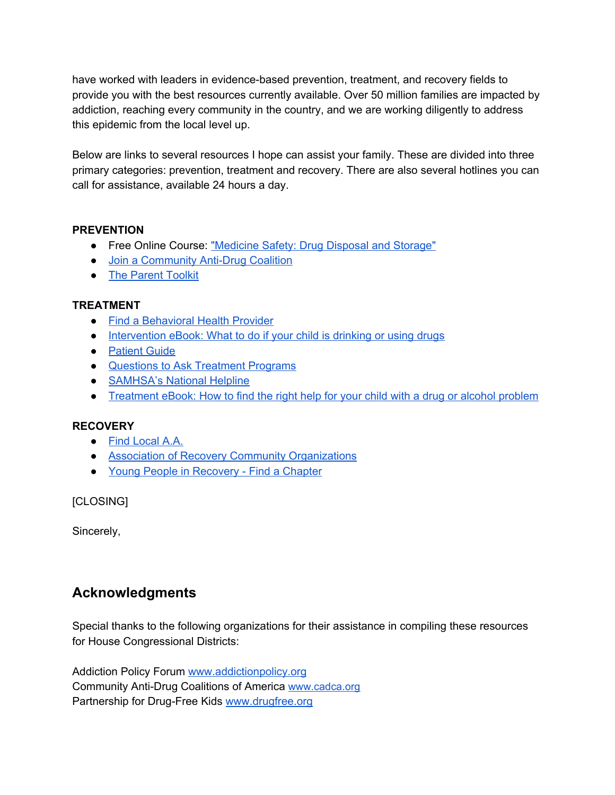have worked with leaders in evidence-based prevention, treatment, and recovery fields to provide you with the best resources currently available. Over 50 million families are impacted by addiction, reaching every community in the country, and we are working diligently to address this epidemic from the local level up.

Below are links to several resources I hope can assist your family. These are divided into three primary categories: prevention, treatment and recovery. There are also several hotlines you can call for assistance, available 24 hours a day.

#### **PREVENTION**

- Free Online Course: ["Medicine](http://learning.cadca.org/) Safety: Drug Disposal and Storage"
- Join a [Community](http://www.cadca.org/webform/join-existing-coalition) Anti-Drug Coalition
- The [Parent](http://www.drugfree.org/the-parent-toolkit/age-by-age-advice/) Toolkit

#### **TREATMENT**

- Find a [Behavioral](http://www.thenationalcouncil.org/providers/) Health Provider
- [Intervention](http://www.drugfree.org/resources/intervention-e-book-what-to-do-if-your-child-is-drinking-or-using-drugs/) eBook: What to do if your child is drinking or using drugs
- [Patient](http://www.casacolumbia.org/addiction-treatment/patient-guide) Guide
- Questions to Ask [Treatment](http://drugfree.scdn1.secure.raxcdn.com/wp-content/uploads/2014/05/questions_to_ask_treatment_programs_and_staff.pdf) Programs
- [SAMHSA's](http://www.samhsa.gov/find-help/national-helpline) National Helpline
- [Treatment](http://www.drugfree.org/resources/drug-alcohol-abuse-treatment-how-to-find-the-right-help-for-your-child-with/) eBook: How to find the right help for your child with a drug or alcohol problem

### **RECOVERY**

- Find [Local](http://www.aa.org/pages/en_US/find-local-aa) A.A.
- Association of Recovery Community [Organizations](http://www.facesandvoicesofrecovery.org/who/arco)
- Young People in [Recovery](http://youngpeopleinrecovery.org/locate-ypr-chapter/) Find a Chapter

[CLOSING]

Sincerely,

### **Acknowledgments**

Special thanks to the following organizations for their assistance in compiling these resources for House Congressional Districts:

Addiction Policy Forum [www.addictionpolicy.org](http://www.addictionpolicy.org/) Community Anti-Drug Coalitions of America [www.cadca.org](http://www.cadca.org/) Partnership for Drug-Free Kids [www.drugfree.org](http://www.drugfree.org/)